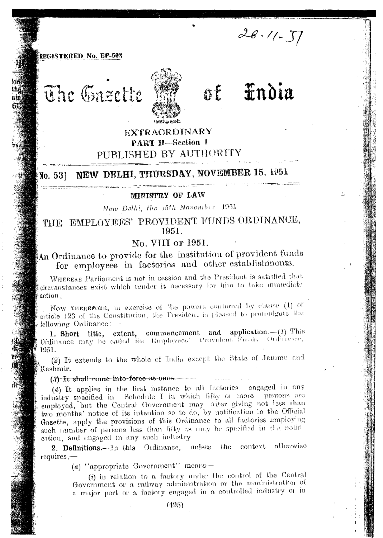$28.11 - 57$ 

### REGISTERED No. EP-503

The Gazette



# *findia*  $\sum_{i=1}^{n}$

# **EXTRAORDINARY PART II-Section 1** PUBLISHED BY AUTHORITY

#### NEW DELHI, THURSDAY, NOVEMBER 15, 1951 No. 531

#### MINISTRY OF LAW

## New Delhi, the 15th November, 1951

# THE EMPLOYEES' PROVIDENT FUNDS ORDINANCE, 1951.

# No. VIII or 1951.

# An Ordinance to provide for the institution of provident funds for employees in factories and other establishments.

WHEREAS Parliament is not in session and the President is satisfied that circumstances exist which render it necessary for him to take immediate action;

Now THEREFORE, in exercise of the powers conferred by clause (1) of article 123 of the Constitution, the President is pleased to promulgate the following Ordinance:-

1. Short title, extent, commencement and application.  $-(1)$  This Ordinance may be called the Employees' Provident Funds Ordinance, 1951.

(2) It extends to the whole of India except the State of Jammu and Kashmir.

(3) It shall come into force at once

(4) It applies in the first instance to all factories engaged in any industry specified in Schedule I in which fifty or more persons are employed, but the Central Government may, after giving not less than two months' notice of its intention so to do, by notification in the Official Gazette, apply the provisions of this Ordinance to all factories employing such mimber of persons less than fifty as may be specified in the notification, and engaged in any such industry.

2. Definitions.- In this Ordinance, unless the context otherwise requires,—

 $(a)$  "appropriate Government" means-

(i) in relation to a factory under the control of the Central Government or a railway administration or the administration of a major port or a factory engaged in a controlled industry or in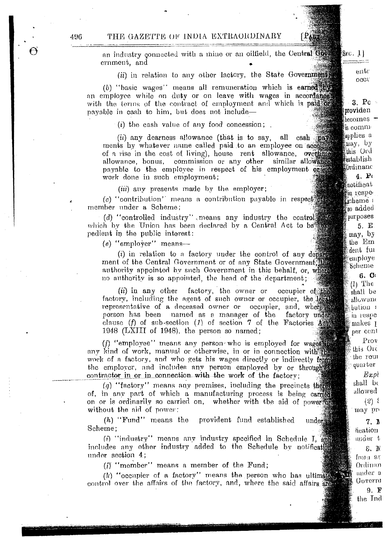an industry connected with a mine or an oilfield, the Central Government, and

(ii) in relation to any other lactory, the State Governments

(b) "basic wages" means all remuneration which is earned by an employee while on duty or on leave with wages in accordance with the terms of the contract of employment and which is paid of payable in cash to him, but does not include—

 $(i)$  the cash value of any food concession;

(ii) any dearness allowance (that is to say, all cash pay ments by whatever name called paid to an employee on account of a rise in the cost of living), house rent allowance, overtime allowance, bonus, commission or any other similar allowance payable to the employee in respect of his employment or of work done in such employment;

(*iii*) any presents made by the employer;

 $(c)$  "contribution" means a contribution payable in respect  $\mathbb{R}$ member under a Scheme:

(d) "controlled industry" means any industry the control which by the Union has been declared by a Central Act to be pedient in the public interest:

 $(e)$  "employer" means-

 $(i)$  in relation to a factory under the control of any departs ment of the Central Government or of any State Government. the authority appointed by such Government in this behalf, or, where no authority is so appointed, the head of the department;

factory, the owner or  $(ii)$  in any other occupier of the factory, including the agent of such owner or occupier, the legal representative of a deceased owner or occupier, and, where person has been named as a manager of the factory under clause (f) of sub-section (1) of section 7 of the Factories  $\overrightarrow{A}$ 1948 (LXIII of 1948), the person so named;

(f) "employee" means any person who is employed for wages any kind of work, manual or otherwise, in or in connection with the work of a factory, and who gets his wages directly or indirectly from the employer, and includes any person employed by or through contractor in or in connection with the work of the factory:

 $(q)$  "factory" means any premises, including the precincts there of, in any part of which a manufacturing process is being carried on or is ordinarily so carried on, whether with the aid of power of without the aid of power:

 $(h)$  "Fund" means the provident fund established under Scheme:

(i) "industry" means any industry specified in Schedule I, and includes any other industry added to the Schedule by notification under section 4;

 $(i)$  "member" means a member of the Fund;

(k) "occupier of a factory" means the person who has ultimated control over the affairs of the factory, and, where the said affairs are

4.96

 $S_{EC}$ ,  $1$ 

PART

 $en$ tr occu

 $3P<sub>0</sub>$ 

providen

 $heomes$ 

<sup>്</sup>ട comm applies a

may, by

this Ord

establish tbrdinanc  $4.$   $P_1$  $\ell$ notificat ≸in respe⊖ scheme + so added purposes  $5E$ may, by the Em dent fui employe Scheme 6. C  $(1)$  The shall be allowand bution a in respe makes 1 per cent  $P_{\rm TO}$ this Ord the rout quarter  $Ex$ pl shall be allowed  $(2)$  { may pro 7. R heation

mider t

from at

Ordinan mder a

Govern

9. F the Ind

8. IM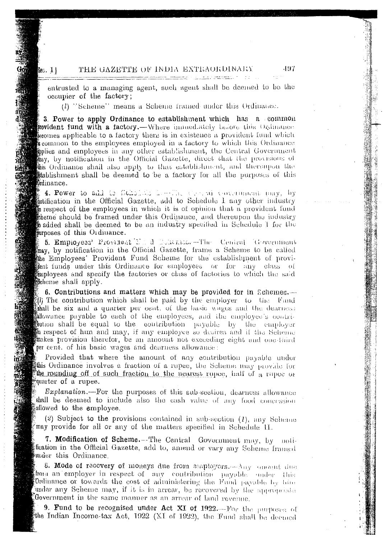#### THE GAZETTE OF INDIA EXTRAORDINARY  $\Sigma C. 1$

entrusted to a managing agent, such agent shall be deemed to be the occupier of the factory;

(l) "Scheme" means a Scheme framed under this Ordinance.

3. Power to apply Ordinance to establishment which has a common **rovident fund with a factory.**—Where inmedately before this Ordinance ecomes applicable to a factory there is in existence a provident fund which sommon to the employees employed in a factory to which this Ordinance pplies and employees in any other establishment, the Central Government ay, by notification in the Official Gazette, direct that the provisions of this Ordinance shail also apply to that establishment, and thereupon the stablishment shall be deemed to be a factory for all the purposes of this Ordinance.

4. Power to add to fichalists how The Covenance of pay, by Motification in the Official Gazette, add to Schedule 1 any other industry of respect of the employees in which it is of opinion that a provident fund theme should be framed under this Ordinance, and thereupon the industry **to added shall be deemed to be** an industry specified in Schedule 1 for the ourposes of this Ordinance.

5. Empioyees' Provinent Mand Boltania - The Central Government may, by notification in the Official Gazette, frame a Scheme to be called the Employees' Provident Fund Scheme for the establishment of provithent funds under this Ordinance for employees or for any class of imployees and specify the factories or class of factories to which the said Scheme shall apply.

6. Contributions and matters which may be provided for in Schemes.— 40 The contribution which shall be paid by the employer to the Fund shall be six and a quarter per cent. of the basic wages and the dearness allowance payable to each of the employees, and the employee's contri-**Oution shall be equal to the contribution** payable by the employer In respect of him and may, if any employee so desires and if the Scheme makes provision therefor, be an amount not exceeding eight and one-third per cent, of his basic wages and dearness allowance:

Provided that where the amount of any contribution payable under this Ordinance involves a fraction of a rupee, the Scheme may provide for the rounding off of such fraction to the nearest rupee, half of a rapec or  $\frac{2}{3}$ quarter of a rupee.

*Explanation*.—For the purposes of this sub-section, dearness allowance shall be deemed to include also the eash value of any food concession allowed to the employee.

(2) Subject to the provisions contained in sub-section  $(1)$ , any Scheme may provide for all or any of the matters specified in Schedule II.

7. Modification of Scheme.--The Central Government may, by notifleation in the Official Gazette, add to, amend or vary any Scheme framed bunder this Ordinance.

8. Mode of recovery of moneys due from employers. Any carent due from an employer in respect of any contribution payable under this Ordinance or towards the cost of administering the Fund payable by him under any Scheme may, if it is in arrear, be recovered by the appropriate Government in the same manner as an arrear of land revenue.

9. Fund to be recognised under Act XI of 1922. For the purposes of the Indian Income-tax Act, 1922 (XI of 1922), the Fund shall be deemed

497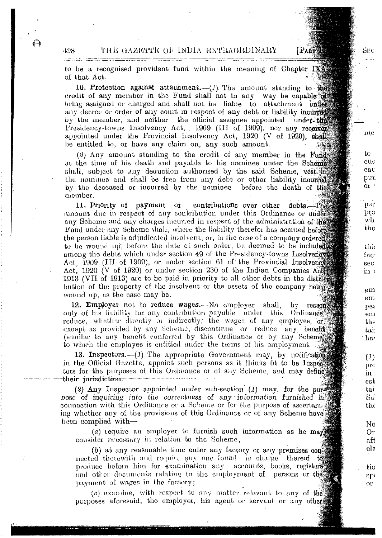THE GAZETTE OF INDIA EXTRAORDINARY

to be a recognised provident fund within the meaning of Chapter  $\mathbb{R}$ of that Act.

10. Protection against attachment.— $(I)$  The amount standing to the eredit of any member in the Fund shall not in any way be capable  $\alpha$ being assigned or charged and shall not be liable to attachment under any decree or order of any court in respect of any debt or liability incurred by the member, and neither the official assignee appointed under the Presidency-towns Insolvency Act, 1909 (III of 1909), nor any receiver appointed under the Provincial Insolvency Act, 1920 (V of 1920), shall be entitled to, or have any claim on, any such amount.

 $(2)$  Any amount standing to the credit of any member in the Fund at the time of his death and payable to his nominee under the Schemes shall, subject to any deduction authorised by the said Scheme, vest in the nominee and shall be free from any debt or other liability incurred by the deceased or incurred by the nominee before the death of the member.

11. Priority of payment of contributions over other debts. The unount due in respect of any contribution under this Ordinance or under any Scheme aud any charges incurred in respect of the administration of the Fund under any Scheme shall, where the liability therefor has accrued before. the person liable is adjudicated insolvent, or, iu the case of a company to be wound up; before the date of such order, be deemed to be included among the debts which under section 49 of the Presidency-towns Insolvences Act, 1909 (III of 1909), or under section 61 of the Provincial Insolvences Act, 1920 (V of 1920) or under section 230 of the Indian Companies Act 1913 (VII of 1913) are to be paid in priority to all other debts in the district bution of the property of the insolvent or the assets of the company being wound up, as the case may be.

12. Employer not to reduce wages.—No employer shall,  $b$ y reason only of his liability for any contribution payable under this Ordinance. reduce, whether directly or indirectly; the wages of any employee,  $\sigma^*$ except as provided by any Scheme, discontinue or reduce any benefits (similar to any benefit conferred by this Ordinance or by any Scheme) to which the employee is entitled under the terms of his employment.

13. Inspectors. $-(1)$  The appropriate Government may, by notification in the Official Gazette, appoint such persons as it thinks fit to be Inspect tors for the purposes of this Ordinance or of any Scheme, and may define. their purisdiction.

(2) Any Inspector appointed under sub-section  $(1)$  may, for the pure bose of inguiring into the correctness of any information furnished in connection with this Ordinance or a Scheme or for the purpose of ascertain. ing whether any of the provisions of this Ordinance or of any Scheme have been complied with-

 $(a)$  require an employer to furnish such information as he may consider necessury in relation to the Scheme,

*(b)* at any reasonable time enter any factory or any premises nected therewith and require any one found in charge thereof  $t_{0}$ produce before him for examination any accounts, books, registers and other documents relating to the employment of persons or the payment of wages in the factory;

(c) examine, with respect to any matter relevant to any of the purposes aforesaid, the employer, his agent or servant or any other

 $L_{1}$ 

Sec

PART THE

1110

 $L<sub>C</sub>$ e1l2 cat: *PUL*  $\mathrm{_{01}}$  '

per *}J~o* wh tho

thi: fac sec in <sup>1</sup>

-ern em peI em  $b$ h $\epsilon$ tai: ha'

(Z) Pl'C III est  $\tan$  $\rm Sc$  $_{\rm th}$ 

No Or aft e18 \

tio  $8p$ ( or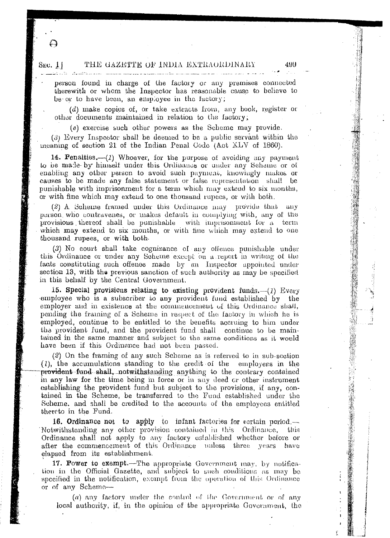#### SEC. 1.1 'l'HE GAZE'l''l'l!! Ull ' INDIA EX'l'HAUHDINAHY 4UUthe contract of the contract of the contract of the contract of

person found in charge of the factory or any premises connected therewith or whom the Inspector has reasonable cause to believe to be or to have been, an employee in the factory;

*(d)* make copies of, or take extracts from, any book, register or other documents maintained in relation to the factory;

*(e)* exercise such other powers as the Scheme may provide.

(3) Every Inspector shall be deemed to be a public servant within the meaning of section 21 of the Indian Penal Code (Act XLV of 1860).

14. Penalties.-- $(l)$  Whoever, for the purpose of avoiding any payment to be made- by himself under this Ordinance or under any Scheme or of enabling any other person to avoid such payment, knowingly makes or causes to be made any false statement or false rcpreseutauon shull be punishable with imprisonment for a term which may extend to six months, or with fine which may extend to one thousand rupees, or with both.

 $(2)$  A Scheme framed under this Ordinance may provide that any person who contravenes, or makes default in complying with, any of the provisions thereof shall be punishable with imprisonment for  $a$  term which may extend to six months, or with fine which may extend to one thousand rupees, or with both.

 $(3)$  No eourt shall take cognizance of any offence punishable under this Ordinance or under any Scheme except on a report in writing of the facts constituting such offence made by an Inspector appointed under section 13, with the previous sanction of such authority as may be specified in this behalf by the Central Government.

15. Special provisions relating to existing provident funds. $-(1)$  Every -employee who is a subscriber to any provident Iuud established by the employer and in existence at the commencement of this Ordinance shall, pending the framing of a Scheme in respect of the factory in which he is employed, continue to be entitled to the benefits accruing to him under tha provident fund, and the provident fund shall continue to be maintained in the same manner and subject to the same conditions as it would have been if this Ordinance had not been passed.

(2) On the framing of any such Scherne as is referred to in sub-section (1), the accumulations standing to the credit of the employees in the provident-fund-shall, notwithstanding anything to the contrary contained in any law for the time being in force or in any deed or other instrument establishing the provident fund but subject to the provisions, if any, contained in the Scheme, be transferred to the Fund established under the Scheme. and shall be credited to the accounts of the employees entitled thereto in tho Fund.

16. Ordinance not to apply to infant factories for certain period.-Notwithstanding any other provision contained in this Ordinance, this Ordinance shall not apply to any factory *established* whether before or after the commencement of this Ordinance unless three years have ~lapsed from its establishment.

17. Power to exempt.—The appropriate Government may, by notification in the Official Gazette, and subject to such conditions as may be specified in the notification, exempt from the operation of this Ordinance or of any Scheme-

*(a)* any factory under the control of the Government or of any local authority, if, in the opinion of the appropriate Government, the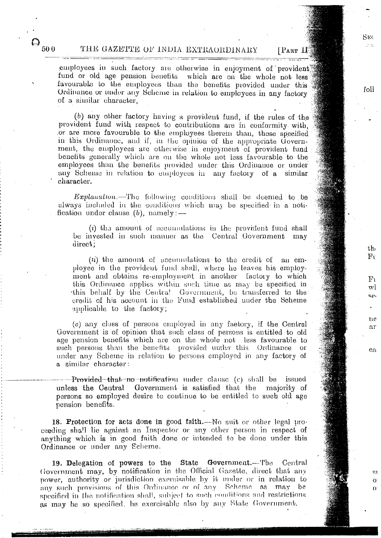# THE GAZETTE OF INDIA EXTRAORDINARY

 $\Theta_{_{50\,0}}$ 

[PART II]

 $Suc$ 

foll

 $th$  $F_V$ 

 ${\rm F}{\rm i}$ 

 $\mathbf{w}$ 

sρ.

ne

 $21$ 

 $en$ 

O.

 $\Omega$ 

employees in such factory are otherwise in enjoyment of provident fund or old age pension benefits which are on the whole not less. favourable to the employees than the benefits provided under this Ordinance or under any Scheme in relation to employees in any factory of a similar character.

(b) any other factory having a provident fund, if the rules of the provident fund with respect to contributions are in conformity with, or are more favourable to the employees therein than, those specified in this Ordinance, and if, in the opinion of the appropriate Government, the employees are otherwise in enjoyment of provident fund benefits generally which are on the whole not less favourable to the employees than the benefits provided under this Ordinance or under any Scheme in relation to employees in any factory of a similar character.

*Explanation*.-The following conditions shall be deemed to be always included in the conditions which may be specified in a notification under clause  $(b)$ , namely: —

 $(i)$  the amount of accumulations in the provident fund shall be invested in such manner as the Central Government may  $direct:$ 

 $(ii)$  the amount of accumulations to the credit of an employee in the provident fund shall, where he leaves his employment and obtains re-employment in another factory to which this Ordinance applies within such time as may be specified in this behalf by the Centra! Government, be transferred to the credit of his account in the Fund established under the Scheme applicable to the factory:

(c) any class of persons employed in any factory, if the Central Government is of opinion that such class of persons is entitled to old age pension benefits which are on the whole not less favourable to such persons than the benefits provided under this Ordinance or under any Scheme in relation to persons employed in any factory of a similar character:

---Provided-that no notification under clause (c) shall be issued unless the Central Government is satisfied that the majority of persons so employed desire to continue to be entitled to such old age pension benefits.

18. Protection for acts done in good faith.—No suit or other legal proceeding shall lie against an Inspector or any other person in respect of anything which is in good faith done or intended to be done under this Ordinance or under any Scheme.

19. Delegation of powers to the State Government.-The Central Government may, by notification in the Official Gazette, direct that any power, authority or jurisdiction exercisable by it under or in relation to any such provisions of this Ordinance or of any Scheme as may be specified in the notification shall, subject to such conditions and restrictions as may be so specified, be exercisable also by any State Government.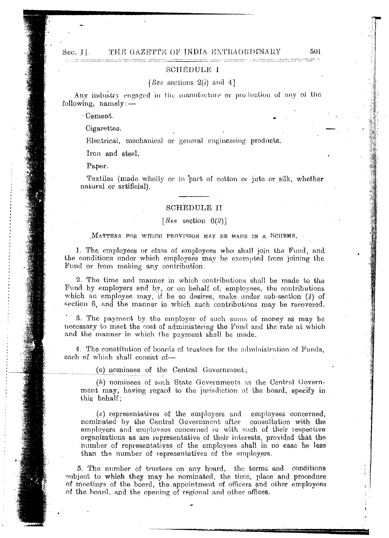#### THE GAZETTE OF INDIA EXTRAORDINARY Sec.  $1$ .

#### **SCHEDULE I**

#### [Sec sections  $2(i)$  and 4]

Any industry engaged in the manufacture or production of any of the following,  $namely:$ 

Cement.

Cigarettes.

Electrical, mechanical or general engineering products.

Iron and steel.

Paper.

Textiles (made wholly or in part of cotton or jute or silk, whether natural or artificial).

### **SCHEDULE II**

#### [See section  $6(2)$ ]

#### MATTERS FOR WILLOH PROVISION MAY BE MADE IN A SCHEME.

1. The employees or class of employees who shall join the Fund, and the conditions under which employees may be exempted from joining the Fund or from making any contribution.

2. The time and manner in which contributions shall be made to the Fund by employers and by, or on behalf of, employees, the contributions which an employee may, if he so desires, make under spb-section  $(1)$  of section 6, and the manner in which such contributions may be recovered.

3. The payment by the employer of such sums of money as may be necessary to meet the cost of administering the Fund and the rate at which and the manner in which the payment shall be made.

4. The constitution of boards of trustees for the administration of Funds, each of which shall consist of-

(a) nominees of the Central Government;

(b) nominees of such State Governments as the Central Government may, having regard to the jurisdiction of the board, specify in this behalf;

(c) representatives of the employers and employees concerned, nominated by the Central Government after consultation with the employers and employees concerned or with such of their respective organisations as are representative of their interests, provided that the number of representatives of the employees shall in no case be less than the number of representatives of the employers.

5. The number of trustees on any board, the terms and conditions subject to which they may be nominated, the time, place and procedure of meetings of the board, the appointment of officers and other employees of the hoard, and the opening of regional and other offices.

501